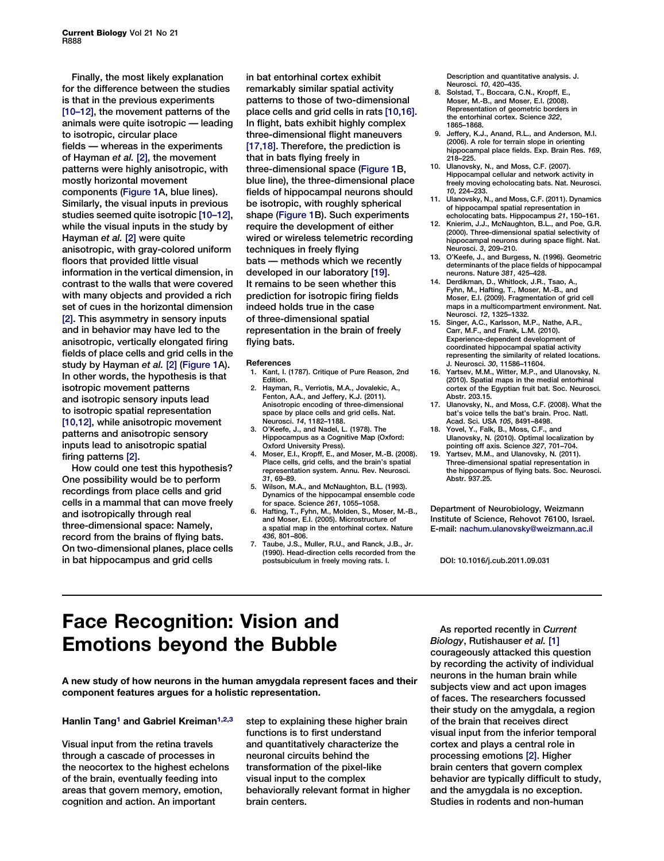Finally, the most likely explanation for the difference between the studies is that in the previous experiments [10–12], the movement patterns of the animals were quite isotropic — leading to isotropic, circular place fields — whereas in the experiments of Hayman et al. [2], the movement patterns were highly anisotropic, with mostly horizontal movement components (Figure 1A, blue lines). Similarly, the visual inputs in previous studies seemed quite isotropic [10–12], while the visual inputs in the study by Hayman et al. [2] were quite anisotropic, with gray-colored uniform floors that provided little visual information in the vertical dimension, in contrast to the walls that were covered with many objects and provided a rich set of cues in the horizontal dimension [2]. This asymmetry in sensory inputs and in behavior may have led to the anisotropic, vertically elongated firing fields of place cells and grid cells in the study by Hayman et al. [2] (Figure 1A). In other words, the hypothesis is that isotropic movement patterns and isotropic sensory inputs lead to isotropic spatial representation [10,12], while anisotropic movement patterns and anisotropic sensory inputs lead to anisotropic spatial firing patterns [2].

How could one test this hypothesis? One possibility would be to perform recordings from place cells and grid cells in a mammal that can move freely and isotropically through real three-dimensional space: Namely, record from the brains of flying bats. On two-dimensional planes, place cells in bat hippocampus and grid cells

in bat entorhinal cortex exhibit remarkably similar spatial activity patterns to those of two-dimensional place cells and grid cells in rats [10,16]. In flight, bats exhibit highly complex three-dimensional flight maneuvers [17,18]. Therefore, the prediction is that in bats flying freely in three-dimensional space (Figure 1B, blue line), the three-dimensional place fields of hippocampal neurons should be isotropic, with roughly spherical shape (Figure 1B). Such experiments require the development of either wired or wireless telemetric recording techniques in freely flying bats — methods which we recently developed in our laboratory [19]. It remains to be seen whether this prediction for isotropic firing fields indeed holds true in the case of three-dimensional spatial representation in the brain of freely flying bats.

#### References

- 1. Kant, I. (1787). Critique of Pure Reason, 2nd Edition.
- 2. Hayman, R., Verriotis, M.A., Jovalekic, A., Fenton, A.A., and Jeffery, K.J. (2011). Anisotropic encoding of three-dimensional space by place cells and grid cells. Nat. Neurosci. 14, 1182–1188.
- O'Keefe, J., and Nadel, L. (1978). The Hippocampus as a Cognitive Map (Oxford: Oxford University Press).
- Moser, E.I., Kropff, E., and Moser, M.-B. (2008). Place cells, grid cells, and the brain's spatial representation system. Annu. Rev. Neurosci. 31, 69–89.
- Wilson, M.A., and McNaughton, B.L. (1993). Dynamics of the hippocampal ensemble code<br>for space. Science 261, 1055-1058.
- for space. Science 261, 1055–1058. 6. Hafting, T., Fyhn, M., Molden, S., Moser, M.-B., and Moser, E.I. (2005). Microstructure of a spatial map in the entorhinal cortex. Nature<br>436. 801-806.
- 436, 801–806. 7. Taube, J.S., Muller, R.U., and Ranck, J.B., Jr. (1990). Head-direction cells recorded from the postsubiculum in freely moving rats. I.

Description and quantitative analysis. J.<br>Neurosci. 10. 420–435. Neurosci. 10, 420–435. 8. Solstad, T., Boccara, C.N., Kropff, E.,

- Moser, M.-B., and Moser, E.I. (2008). Representation of geometric borders in the entorhinal cortex. Science 322, 1865–1868.
- 9. Jeffery, K.J., Anand, R.L., and Anderson, M.I. (2006). A role for terrain slope in orienting hippocampal place fields. Exp. Brain Res. 169, 218–225.
- 10. Ulanovsky, N., and Moss, C.F. (2007). Hippocampal cellular and network activity in freely moving echolocating bats. Nat. Neurosci.<br>10, 224-233.
- 10, 224–233. 11. Ulanovsky, N., and Moss, C.F. (2011). Dynamics of hippocampal spatial representation in
- echolocating bats. Hippocampus 21, 150–161. 12. Knierim, J.J., McNaughton, B.L., and Poe, G.R. (2000). Three-dimensional spatial selectivity of hippocampal neurons during space flight. Nat. Neurosci. 3, 209–210.
- 13. O'Keefe, J., and Burgess, N. (1996). Geometric determinants of the place fields of hippocampal
- neurons. Nature 381, 425–428. 14. Derdikman, D., Whitlock, J.R., Tsao, A., Fyhn, M., Hafting, T., Moser, M.-B., and Moser, E.I. (2009). Fragmentation of grid cell maps in a multicompartment environment. Nat.<br>Neurosci. 12. 1325–1332.
- Neurosci. 12, 1325–1332. 15. Singer, A.C., Karlsson, M.P., Nathe, A.R., Carr, M.F., and Frank, L.M. (2010). Experience-dependent development of coordinated hippocampal spatial activity representing the similarity of related locations. J. Neurosci. 30, 11586–11604.
- 16. Yartsev, M.M., Witter, M.P., and Ulanovsky, N. (2010). Spatial maps in the medial entorhinal cortex of the Egyptian fruit bat. Soc. Neurosci. Abstr. 203.15.
- 17. Ulanovsky, N., and Moss, C.F. (2008). What the bat's voice tells the bat's brain. Proc. Natl. Acad. Sci. USA 105, 8491–8498.
- 18. Yovel, Y., Falk, B., Moss, C.F., and Ulanovsky, N. (2010). Optimal localization by pointing off axis. Science 327, 701–704.
- 19. Yartsev, M.M., and Ulanovsky, N. (2011). Three-dimensional spatial representation in the hippocampus of flying bats. Soc. Neurosci. Abstr. 937.25.

Department of Neurobiology, Weizmann Institute of Science, Rehovot 76100, Israel. E-mail: [nachum.ulanovsky@weizmann.ac.il](mailto:nachum.ulanovsky@weizmann.ac.il)

DOI: 10.1016/j.cub.2011.09.031

# Face Recognition: Vision and Emotions beyond the Bubble

A new study of how neurons in the human amygdala represent faces and their component features argues for a holistic representation.

## Hanlin Tang<sup>[1](#page-2-0)</sup> and Gabriel Kreiman<sup>1,2,3</sup>

Visual input from the retina travels through a cascade of processes in the neocortex to the highest echelons of the brain, eventually feeding into areas that govern memory, emotion, cognition and action. An important

step to explaining these higher brain functions is to first understand and quantitatively characterize the neuronal circuits behind the transformation of the pixel-like visual input to the complex behaviorally relevant format in higher brain centers.

As reported recently in Current Biology, Rutishauser et al. [\[1\]](#page-2-0) courageously attacked this question by recording the activity of individual neurons in the human brain while subjects view and act upon images of faces. The researchers focussed their study on the amygdala, a region of the brain that receives direct visual input from the inferior temporal cortex and plays a central role in processing emotions [\[2\].](#page-2-0) Higher brain centers that govern complex behavior are typically difficult to study, and the amygdala is no exception. Studies in rodents and non-human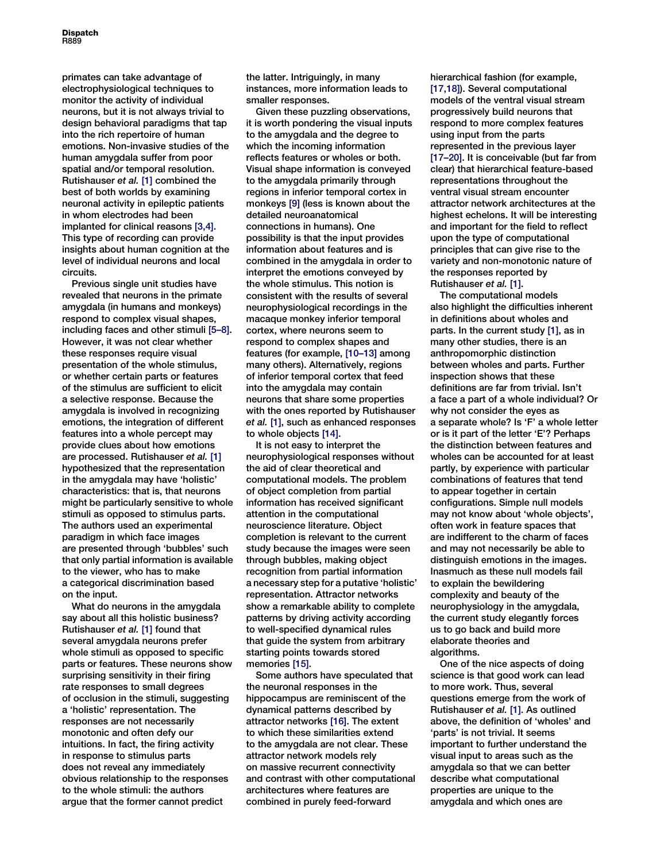**Dispatch** R889

primates can take advantage of electrophysiological techniques to monitor the activity of individual neurons, but it is not always trivial to design behavioral paradigms that tap into the rich repertoire of human emotions. Non-invasive studies of the human amygdala suffer from poor spatial and/or temporal resolution. Rutishauser et al. [\[1\]](#page-2-0) combined the best of both worlds by examining neuronal activity in epileptic patients in whom electrodes had been implanted for clinical reasons [\[3,4\]](#page-2-0). This type of recording can provide insights about human cognition at the level of individual neurons and local circuits.

Previous single unit studies have revealed that neurons in the primate amygdala (in humans and monkeys) respond to complex visual shapes, including faces and other stimuli [\[5–8\]](#page-2-0). However, it was not clear whether these responses require visual presentation of the whole stimulus, or whether certain parts or features of the stimulus are sufficient to elicit a selective response. Because the amygdala is involved in recognizing emotions, the integration of different features into a whole percept may provide clues about how emotions are processed. Rutishauser et al. [\[1\]](#page-2-0) hypothesized that the representation in the amygdala may have 'holistic' characteristics: that is, that neurons might be particularly sensitive to whole stimuli as opposed to stimulus parts. The authors used an experimental paradigm in which face images are presented through 'bubbles' such that only partial information is available to the viewer, who has to make a categorical discrimination based on the input.

What do neurons in the amygdala say about all this holistic business? Rutishauser et al. [\[1\]](#page-2-0) found that several amygdala neurons prefer whole stimuli as opposed to specific parts or features. These neurons show surprising sensitivity in their firing rate responses to small degrees of occlusion in the stimuli, suggesting a 'holistic' representation. The responses are not necessarily monotonic and often defy our intuitions. In fact, the firing activity in response to stimulus parts does not reveal any immediately obvious relationship to the responses to the whole stimuli: the authors argue that the former cannot predict

the latter. Intriguingly, in many instances, more information leads to smaller responses.

Given these puzzling observations, it is worth pondering the visual inputs to the amygdala and the degree to which the incoming information reflects features or wholes or both. Visual shape information is conveyed to the amygdala primarily through regions in inferior temporal cortex in monkeys [\[9\]](#page-2-0) (less is known about the detailed neuroanatomical connections in humans). One possibility is that the input provides information about features and is combined in the amygdala in order to interpret the emotions conveyed by the whole stimulus. This notion is consistent with the results of several neurophysiological recordings in the macaque monkey inferior temporal cortex, where neurons seem to respond to complex shapes and features (for example, [\[10–13\]](#page-2-0) among many others). Alternatively, regions of inferior temporal cortex that feed into the amygdala may contain neurons that share some properties with the ones reported by Rutishauser et al. [\[1\],](#page-2-0) such as enhanced responses to whole objects [\[14\].](#page-2-0)

It is not easy to interpret the neurophysiological responses without the aid of clear theoretical and computational models. The problem of object completion from partial information has received significant attention in the computational neuroscience literature. Object completion is relevant to the current study because the images were seen through bubbles, making object recognition from partial information a necessary step for a putative 'holistic' representation. Attractor networks show a remarkable ability to complete patterns by driving activity according to well-specified dynamical rules that guide the system from arbitrary starting points towards stored memories [\[15\].](#page-2-0)

Some authors have speculated that the neuronal responses in the hippocampus are reminiscent of the dynamical patterns described by attractor networks [\[16\].](#page-2-0) The extent to which these similarities extend to the amygdala are not clear. These attractor network models rely on massive recurrent connectivity and contrast with other computational architectures where features are combined in purely feed-forward

hierarchical fashion (for example, [\[17,18\]\)](#page-2-0). Several computational models of the ventral visual stream progressively build neurons that respond to more complex features using input from the parts represented in the previous layer [\[17–20\].](#page-2-0) It is conceivable (but far from clear) that hierarchical feature-based representations throughout the ventral visual stream encounter attractor network architectures at the highest echelons. It will be interesting and important for the field to reflect upon the type of computational principles that can give rise to the variety and non-monotonic nature of the responses reported by Rutishauser et al. [\[1\]](#page-2-0).

The computational models also highlight the difficulties inherent in definitions about wholes and parts. In the current study [\[1\],](#page-2-0) as in many other studies, there is an anthropomorphic distinction between wholes and parts. Further inspection shows that these definitions are far from trivial. Isn't a face a part of a whole individual? Or why not consider the eyes as a separate whole? Is 'F' a whole letter or is it part of the letter 'E'? Perhaps the distinction between features and wholes can be accounted for at least partly, by experience with particular combinations of features that tend to appear together in certain configurations. Simple null models may not know about 'whole objects', often work in feature spaces that are indifferent to the charm of faces and may not necessarily be able to distinguish emotions in the images. Inasmuch as these null models fail to explain the bewildering complexity and beauty of the neurophysiology in the amygdala, the current study elegantly forces us to go back and build more elaborate theories and algorithms.

One of the nice aspects of doing science is that good work can lead to more work. Thus, several questions emerge from the work of Rutishauser et al. [\[1\]](#page-2-0). As outlined above, the definition of 'wholes' and 'parts' is not trivial. It seems important to further understand the visual input to areas such as the amygdala so that we can better describe what computational properties are unique to the amygdala and which ones are